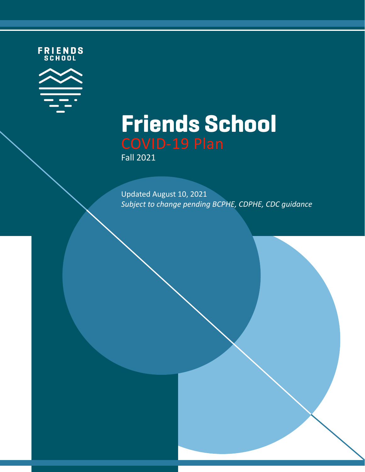FRIENDS<br>SCHOOL



# **Friends School**

Fall 2021

Updated August 10, 2021 Subject to change pending BCPHE, CDPHE, CDC guidance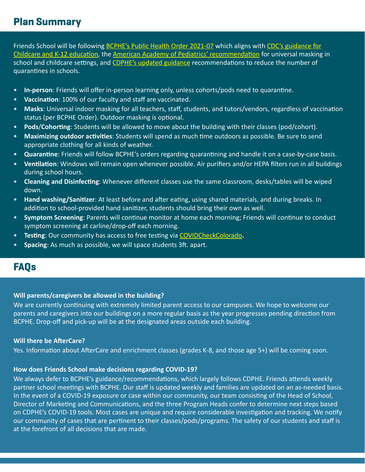## **Plan Summary**

Friends School will be following BCPHE's Public Health Order 2021-07 which aligns with CDC's guidance for Childcare and K-12 education, the American Academy of Pediatrics' recommendation for universal masking in school and childcare settings, and CDPHE's updated guidance recommendations to reduce the number of quarantines in schools.

- In-person: Friends will offer in-person learning only, unless cohorts/pods need to quarantine.
- Vaccination: 100% of our faculty and staff are vaccinated.
- Masks: Universal indoor masking for all teachers, staff, students, and tutors/vendors, regardless of vaccination status (per BCPHE Order). Outdoor masking is optional.
- **Pods/Cohorting**: Students will be allowed to move about the building with their classes (pod/cohort).
- Maximizing outdoor activities: Students will spend as much time outdoors as possible. Be sure to send appropriate clothing for all kinds of weather.
- **Quarantine**: Friends will follow BCPHE's orders regarding quarantining and handle it on a case-by-case basis.
- Ventilation: Windows will remain open whenever possible. Air purifiers and/or HEPA filters run in all buildings during school hours.
- **Cleaning and Disinfecting**: Whenever different classes use the same classroom, desks/tables will be wiped down.
- Hand washing/Sanitizer: At least before and after eating, using shared materials, and during breaks. In addition to school-provided hand sanitizer, students should bring their own as well.
- **Symptom Screening**: Parents will continue monitor at home each morning; Friends will continue to conduct symptom screening at carline/drop-off each morning.
- **Testing:** Our community has access to free testing via [COVIDCheckColorado](https://my.primary.health/l/friends).
- **Spacing**: As much as possible, we will space students 3ft. apart.

# **FAQs**

#### **Will parents/caregivers be allowed in the building?**

We are currently continuing with extremely limited parent access to our campuses. We hope to welcome our parents and caregivers into our buildings on a more regular basis as the year progresses pending direction from BCPHE. Drop-off and pick-up will be at the designated areas outside each building.

#### **Will there be AfterCare?**

Yes. Information about AfterCare and enrichment classes (grades K-8, and those age 5+) will be coming soon.

#### How does Friends School make decisions regarding COVID-19?

We always defer to BCPHE's guidance/recommendations, which largely follows CDPHE. Friends attends weekly partner school meetings with BCPHE. Our staff is updated weekly and families are updated on an as-needed basis. In the event of a COVID-19 exposure or case within our community, our team consisting of the Head of School, Director of Marketing and Communications, and the three Program Heads confer to determine next steps based on CDPHE's COVID-19 tools. Most cases are unique and require considerable investigation and tracking. We notify our community of cases that are pertinent to their classes/pods/programs. The safety of our students and staff is at the forefront of all decisions that are made.